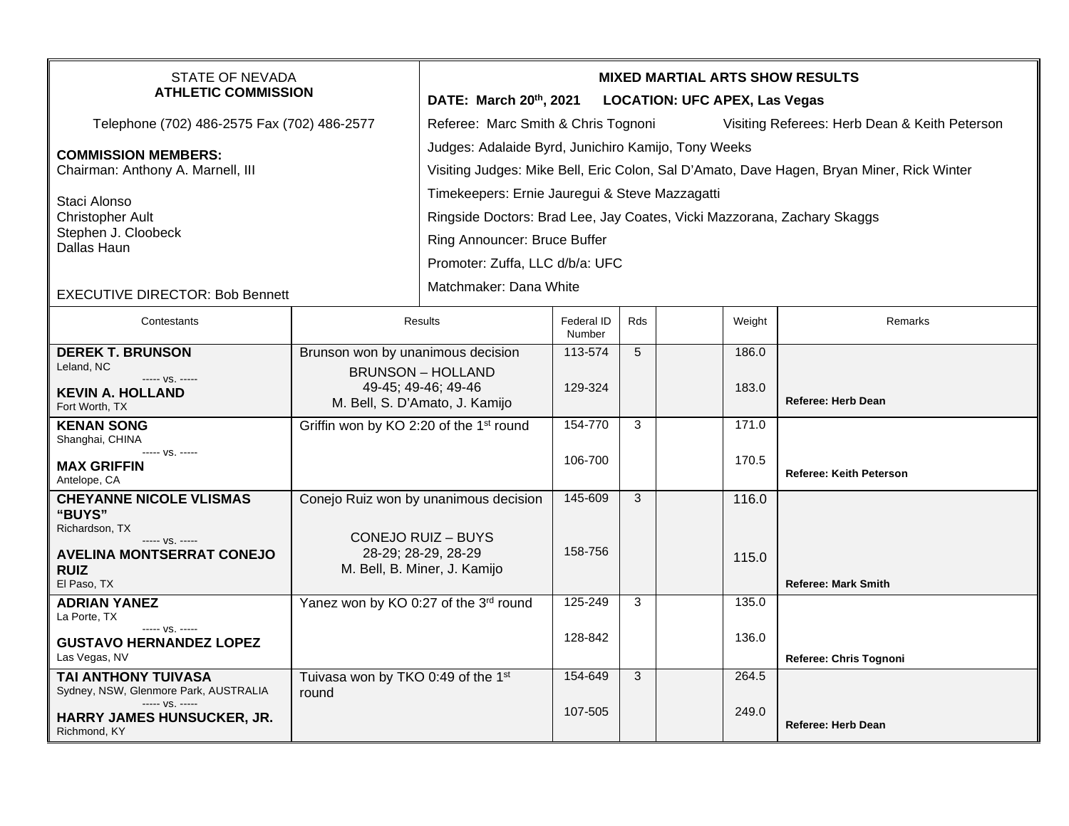| <b>STATE OF NEVADA</b><br><b>ATHLETIC COMMISSION</b>                          |                                                     | <b>MIXED MARTIAL ARTS SHOW RESULTS</b>                                                    |                      |     |  |        |                                |  |  |
|-------------------------------------------------------------------------------|-----------------------------------------------------|-------------------------------------------------------------------------------------------|----------------------|-----|--|--------|--------------------------------|--|--|
|                                                                               |                                                     | DATE: March 20th, 2021<br><b>LOCATION: UFC APEX, Las Vegas</b>                            |                      |     |  |        |                                |  |  |
| Telephone (702) 486-2575 Fax (702) 486-2577                                   |                                                     | Referee: Marc Smith & Chris Tognoni<br>Visiting Referees: Herb Dean & Keith Peterson      |                      |     |  |        |                                |  |  |
| <b>COMMISSION MEMBERS:</b><br>Chairman: Anthony A. Marnell, III               |                                                     | Judges: Adalaide Byrd, Junichiro Kamijo, Tony Weeks                                       |                      |     |  |        |                                |  |  |
|                                                                               |                                                     | Visiting Judges: Mike Bell, Eric Colon, Sal D'Amato, Dave Hagen, Bryan Miner, Rick Winter |                      |     |  |        |                                |  |  |
| Staci Alonso<br><b>Christopher Ault</b><br>Stephen J. Cloobeck<br>Dallas Haun |                                                     | Timekeepers: Ernie Jauregui & Steve Mazzagatti                                            |                      |     |  |        |                                |  |  |
|                                                                               |                                                     | Ringside Doctors: Brad Lee, Jay Coates, Vicki Mazzorana, Zachary Skaggs                   |                      |     |  |        |                                |  |  |
|                                                                               |                                                     |                                                                                           |                      |     |  |        |                                |  |  |
|                                                                               |                                                     | Ring Announcer: Bruce Buffer                                                              |                      |     |  |        |                                |  |  |
|                                                                               |                                                     | Promoter: Zuffa, LLC d/b/a: UFC                                                           |                      |     |  |        |                                |  |  |
| <b>EXECUTIVE DIRECTOR: Bob Bennett</b>                                        |                                                     | Matchmaker: Dana White                                                                    |                      |     |  |        |                                |  |  |
| Contestants                                                                   | <b>Results</b>                                      |                                                                                           | Federal ID<br>Number | Rds |  | Weight | Remarks                        |  |  |
| <b>DEREK T. BRUNSON</b>                                                       | Brunson won by unanimous decision                   |                                                                                           | 113-574              | 5   |  | 186.0  |                                |  |  |
| Leland, NC<br>----- VS. -----                                                 |                                                     | <b>BRUNSON - HOLLAND</b>                                                                  |                      |     |  |        |                                |  |  |
| <b>KEVIN A. HOLLAND</b>                                                       | 49-45; 49-46; 49-46                                 |                                                                                           | 129-324              |     |  | 183.0  | <b>Referee: Herb Dean</b>      |  |  |
| Fort Worth, TX                                                                | M. Bell, S. D'Amato, J. Kamijo                      |                                                                                           |                      |     |  |        |                                |  |  |
| <b>KENAN SONG</b><br>Shanghai, CHINA                                          | Griffin won by KO 2:20 of the 1 <sup>st</sup> round |                                                                                           | 154-770              | 3   |  | 171.0  |                                |  |  |
| ----- VS. -----                                                               |                                                     |                                                                                           |                      |     |  |        |                                |  |  |
| <b>MAX GRIFFIN</b>                                                            |                                                     |                                                                                           | 106-700              |     |  | 170.5  | <b>Referee: Keith Peterson</b> |  |  |
| Antelope, CA<br><b>CHEYANNE NICOLE VLISMAS</b>                                |                                                     |                                                                                           | 145-609              | 3   |  | 116.0  |                                |  |  |
| "BUYS"                                                                        | Conejo Ruiz won by unanimous decision               |                                                                                           |                      |     |  |        |                                |  |  |
| Richardson, TX                                                                |                                                     |                                                                                           |                      |     |  |        |                                |  |  |
| $--- VS. ---$<br><b>AVELINA MONTSERRAT CONEJO</b>                             | <b>CONEJO RUIZ - BUYS</b><br>28-29; 28-29, 28-29    |                                                                                           | 158-756              |     |  | 115.0  |                                |  |  |
| <b>RUIZ</b>                                                                   | M. Bell, B. Miner, J. Kamijo                        |                                                                                           |                      |     |  |        |                                |  |  |
| El Paso, TX                                                                   |                                                     |                                                                                           |                      |     |  |        | <b>Referee: Mark Smith</b>     |  |  |
| <b>ADRIAN YANEZ</b><br>La Porte, TX                                           | Yanez won by KO 0:27 of the 3rd round               |                                                                                           | 125-249              | 3   |  | 135.0  |                                |  |  |
| $--- VS. ---$<br><b>GUSTAVO HERNANDEZ LOPEZ</b>                               |                                                     |                                                                                           | 128-842              |     |  | 136.0  |                                |  |  |
| Las Vegas, NV                                                                 |                                                     |                                                                                           |                      |     |  |        | Referee: Chris Tognoni         |  |  |
| TAI ANTHONY TUIVASA                                                           | Tuivasa won by TKO 0:49 of the 1st                  |                                                                                           | 154-649              | 3   |  | 264.5  |                                |  |  |
| Sydney, NSW, Glenmore Park, AUSTRALIA                                         | round                                               |                                                                                           |                      |     |  |        |                                |  |  |
| $--- vs. ---$<br>HARRY JAMES HUNSUCKER, JR.                                   |                                                     |                                                                                           | 107-505              |     |  | 249.0  |                                |  |  |
| Richmond, KY                                                                  |                                                     |                                                                                           |                      |     |  |        | <b>Referee: Herb Dean</b>      |  |  |